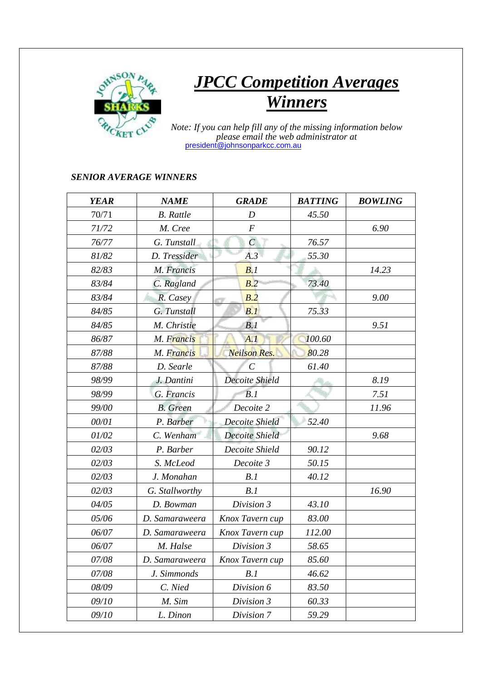

## *JPCC Competition Averages Winners*

 *Note: If you can help fill any of the missing information below please email the web administrator at* president@johnsonparkcc.com.au

## *SENIOR AVERAGE WINNERS*

| <b>YEAR</b> | <b>NAME</b>      | <b>GRADE</b>            | <b>BATTING</b> | <b>BOWLING</b> |
|-------------|------------------|-------------------------|----------------|----------------|
| 70/71       | <b>B.</b> Rattle | D                       | 45.50          |                |
| 71/72       | M. Cree          | $\boldsymbol{F}$        |                | 6.90           |
| 76/77       | G. Tunstall      | $\mathcal{C}_{0}^{(n)}$ | 76.57          |                |
| 81/82       | D. Tressider     | A.3                     | 55.30          |                |
| 82/83       | M. Francis       | B.1                     |                | 14.23          |
| 83/84       | C. Ragland       | B.2                     | 73.40          |                |
| 83/84       | R. Casey         | B.2                     |                | 9.00           |
| 84/85       | G. Tunstall      | B.1                     | 75.33          |                |
| 84/85       | M. Christie      | B.1                     |                | 9.51           |
| 86/87       | M. Francis       | A.1                     | 100.60         |                |
| 87/88       | M. Francis       | <b>Neilson Res.</b>     | 80.28          |                |
| 87/88       | D. Searle        | $\mathcal C$            | 61.40          |                |
| 98/99       | J. Dantini       | Decoite Shield          |                | 8.19           |
| 98/99       | G. Francis       | B.1                     |                | 7.51           |
| 99/00       | <b>B.</b> Green  | Decoite 2               |                | 11.96          |
| 00/01       | P. Barber        | Decoite Shield          | 52.40          |                |
| 01/02       | C. Wenham        | <b>Decoite Shield</b>   |                | 9.68           |
| 02/03       | P. Barber        | Decoite Shield          | 90.12          |                |
| 02/03       | S. McLeod        | Decoite 3               | 50.15          |                |
| 02/03       | J. Monahan       | B.1                     | 40.12          |                |
| 02/03       | G. Stallworthy   | B.1                     |                | 16.90          |
| 04/05       | D. Bowman        | Division 3              | 43.10          |                |
| 05/06       | D. Samaraweera   | Knox Tavern cup         | 83.00          |                |
| 06/07       | D. Samaraweera   | Knox Tavern cup         | 112.00         |                |
| 06/07       | M. Halse         | Division 3              | 58.65          |                |
| 07/08       | D. Samaraweera   | Knox Tavern cup         | 85.60          |                |
| 07/08       | J. Simmonds      | B.1                     | 46.62          |                |
| 08/09       | C. Nied          | Division 6              | 83.50          |                |
| 09/10       | M. Sim           | Division 3              | 60.33          |                |
| 09/10       | L. Dinon         | Division 7              | 59.29          |                |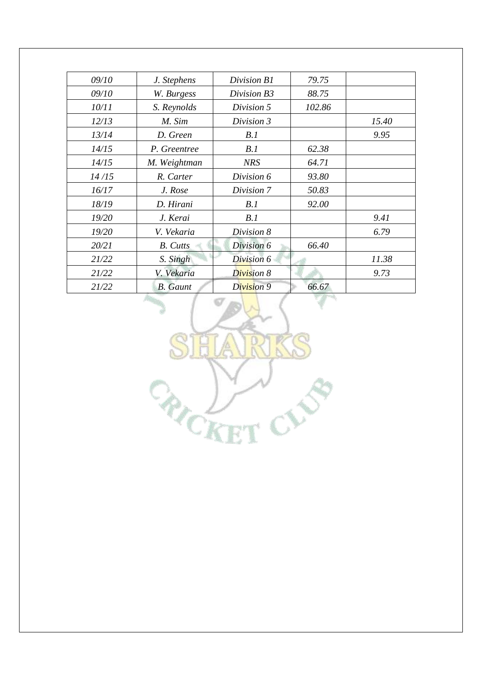| 09/10 | J. Stephens     | Division B1 | 79.75  |       |
|-------|-----------------|-------------|--------|-------|
| 09/10 | W. Burgess      | Division B3 | 88.75  |       |
| 10/11 | S. Reynolds     | Division 5  | 102.86 |       |
| 12/13 | M. Sim          | Division 3  |        | 15.40 |
| 13/14 | D. Green        | B.1         |        | 9.95  |
| 14/15 | P. Greentree    | B.1         | 62.38  |       |
| 14/15 | M. Weightman    | <b>NRS</b>  | 64.71  |       |
| 14/15 | R. Carter       | Division 6  | 93.80  |       |
| 16/17 | J. Rose         | Division 7  | 50.83  |       |
| 18/19 | D. Hirani       | B.1         | 92.00  |       |
| 19/20 | J. Kerai        | B.1         |        | 9.41  |
| 19/20 | V. Vekaria      | Division 8  |        | 6.79  |
| 20/21 | <b>B.</b> Cutts | Division 6  | 66.40  |       |
| 21/22 | S. Singh        | Division 6  |        | 11.38 |
| 21/22 | V. Vekaria      | Division 8  |        | 9.73  |
| 21/22 | <b>B.</b> Gaunt | Division 9  | 66.67  |       |

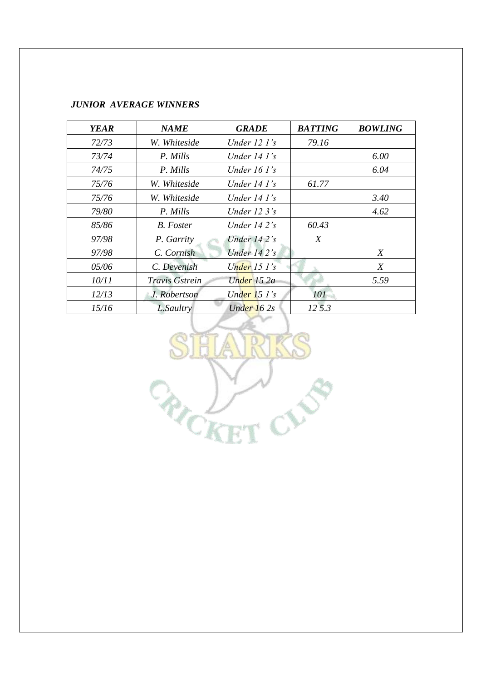## *JUNIOR AVERAGE WINNERS*

| <b>YEAR</b> | <b>NAME</b>    | <b>GRADE</b>            | <b>BATTING</b> | <b>BOWLING</b> |
|-------------|----------------|-------------------------|----------------|----------------|
| 72/73       | W. Whiteside   | Under 12 1's            | 79.16          |                |
| 73/74       | P. Mills       | Under $14$ $1$ 's       |                | 6.00           |
| 74/75       | P. Mills       | Under $16 \, \Gamma$ 's |                | 6.04           |
| 75/76       | W. Whiteside   | Under $14$ $1$ 's       | 61.77          |                |
| 75/76       | W. Whiteside   | Under $14$ $1$ 's       |                | 3.40           |
| 79/80       | P. Mills       | Under $123's$           |                | 4.62           |
| 85/86       | B. Foster      | Under $142$ 's          | 60.43          |                |
| 97/98       | P. Garrity     | Under $14.2$ 's         | X              |                |
| 97/98       | C. Cornish     | Under $142s$            |                | X              |
| 05/06       | C. Devenish    | Under $15 \,$ I's       |                | X              |
| 10/11       | Travis Gstrein | Under 15 2a             |                | 5.59           |
| 12/13       | J. Robertson   | Under $15 \,$ I's       | 101            |                |
| 15/16       | L.Saultry      | Under $162s$            | 12 5.3         |                |